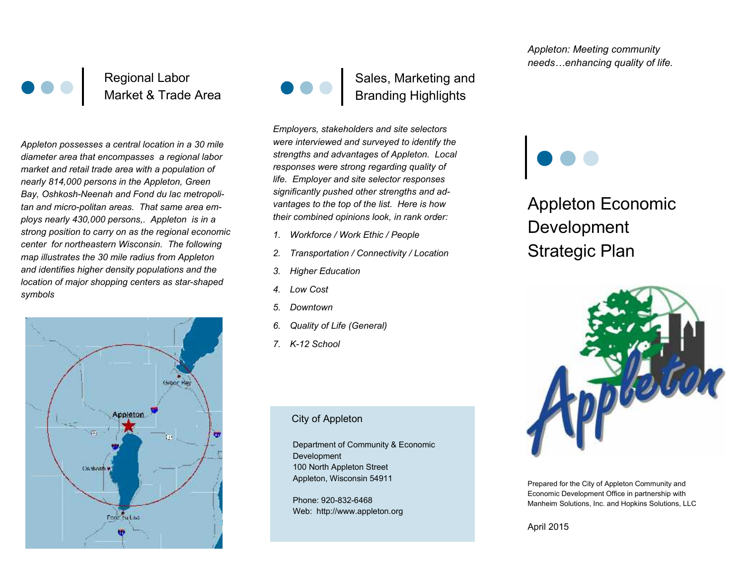

### Regional Labor Market & Trade Area

*Appleton possesses a central location in a 30 mile diameter area that encompasses a regional labor market and retail trade area with a population of nearly 814,000 persons in the Appleton, Green Bay, Oshkosh-Neenah and Fond du lac metropolitan and micro-politan areas. That same area employs nearly 430,000 persons,. Appleton is in a strong position to carry on as the regional economic center for northeastern Wisconsin. The following map illustrates the 30 mile radius from Appleton and identifies higher density populations and the location of major shopping centers as star-shaped symbols*



Sales, Marketing and Branding Highlights

*Employers, stakeholders and site selectors were interviewed and surveyed to identify the strengths and advantages of Appleton. Local responses were strong regarding quality of life. Employer and site selector responses significantly pushed other strengths and advantages to the top of the list. Here is how their combined opinions look, in rank order:*

- *1. Workforce / Work Ethic / People*
- *2. Transportation / Connectivity / Location*
- *3. Higher Education*
- *4. Low Cost*
- *5. Downtown*
- *6. Quality of Life (General)*
- *7. K-12 School*

#### City of Appleton

Department of Community & Economic Development 100 North Appleton Street Appleton, Wisconsin 54911

Phone: 920-832-6468 Web: http://www.appleton.org *Appleton: Meeting community needs…enhancing quality of life.*

Appleton Economic Development Strategic Plan



Prepared for the City of Appleton Community and Economic Development Office in partnership with Manheim Solutions, Inc. and Hopkins Solutions, LLC

April 2015